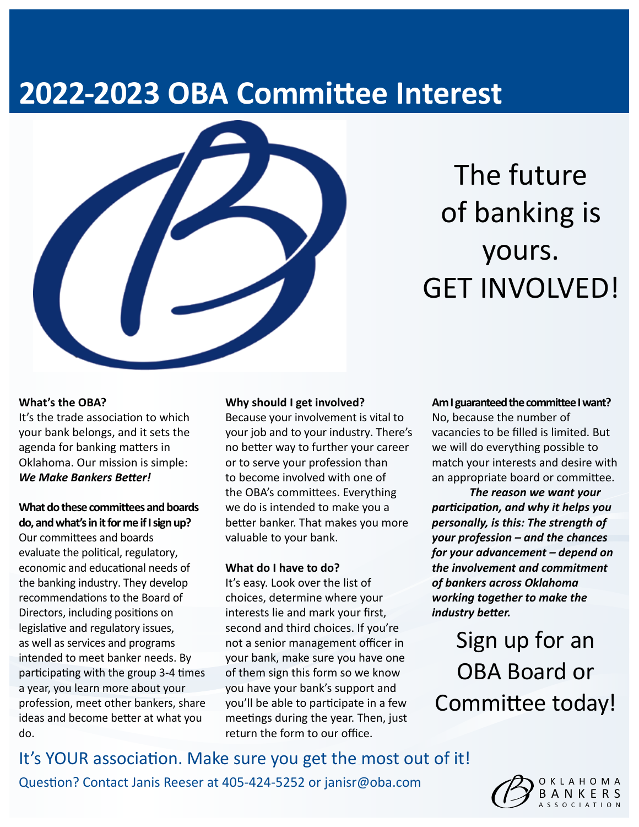# **2022-2023 OBA Committee Interest**



# The future of banking is yours. GET INVOLVED!

### **What's the OBA?**

It's the trade association to which your bank belongs, and it sets the agenda for banking matters in Oklahoma. Our mission is simple: *We Make Bankers Better!*

### **What do these committees and boards do, and what's in it for me if I sign up?**

Our committees and boards evaluate the political, regulatory, economic and educational needs of the banking industry. They develop recommendations to the Board of Directors, including positions on legislative and regulatory issues, as well as services and programs intended to meet banker needs. By participating with the group 3-4 times a year, you learn more about your profession, meet other bankers, share ideas and become better at what you do.

#### **Why should I get involved?**

Because your involvement is vital to your job and to your industry. There's no better way to further your career or to serve your profession than to become involved with one of the OBA's committees. Everything we do is intended to make you a better banker. That makes you more valuable to your bank.

### **What do I have to do?**

It's easy. Look over the list of choices, determine where your interests lie and mark your first, second and third choices. If you're not a senior management officer in your bank, make sure you have one of them sign this form so we know you have your bank's support and you'll be able to participate in a few meetings during the year. Then, just return the form to our office.

**Am I guaranteed the committee I want?**  No, because the number of vacancies to be filled is limited. But we will do everything possible to match your interests and desire with an appropriate board or committee.

*The reason we want your participation, and why it helps you personally, is this: The strength of your profession – and the chances for your advancement – depend on the involvement and commitment of bankers across Oklahoma working together to make the industry better.*

Sign up for an OBA Board or Committee today!

It's YOUR association. Make sure you get the most out of it! Question? Contact Janis Reeser at 405-424-5252 or janisr@oba.com